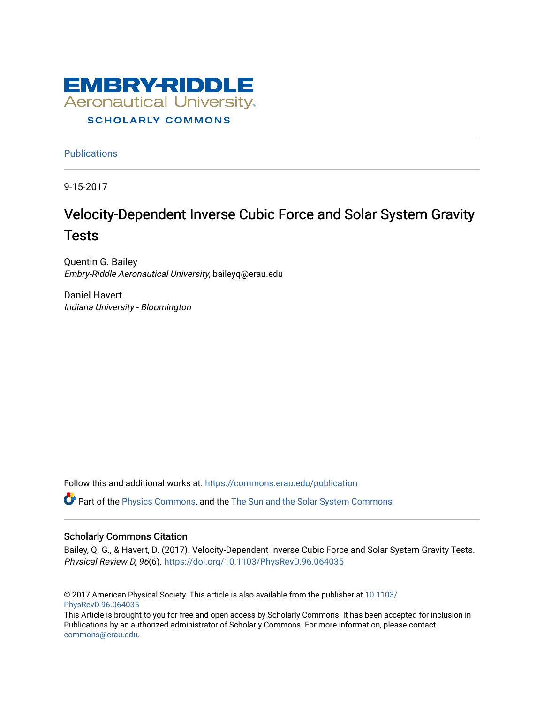

# **SCHOLARLY COMMONS**

**Publications** 

9-15-2017

# Velocity-Dependent Inverse Cubic Force and Solar System Gravity Tests

Quentin G. Bailey Embry-Riddle Aeronautical University, baileyq@erau.edu

Daniel Havert Indiana University - Bloomington

Follow this and additional works at: [https://commons.erau.edu/publication](https://commons.erau.edu/publication?utm_source=commons.erau.edu%2Fpublication%2F607&utm_medium=PDF&utm_campaign=PDFCoverPages) 

Part of the [Physics Commons](http://network.bepress.com/hgg/discipline/193?utm_source=commons.erau.edu%2Fpublication%2F607&utm_medium=PDF&utm_campaign=PDFCoverPages), and the [The Sun and the Solar System Commons](http://network.bepress.com/hgg/discipline/126?utm_source=commons.erau.edu%2Fpublication%2F607&utm_medium=PDF&utm_campaign=PDFCoverPages) 

# Scholarly Commons Citation

Bailey, Q. G., & Havert, D. (2017). Velocity-Dependent Inverse Cubic Force and Solar System Gravity Tests. Physical Review D, 96(6). <https://doi.org/10.1103/PhysRevD.96.064035>

© 2017 American Physical Society. This article is also available from the publisher at [10.1103/](https://doi.org/10.1103/PhysRevD.96.064035) [PhysRevD.96.064035](https://doi.org/10.1103/PhysRevD.96.064035) 

This Article is brought to you for free and open access by Scholarly Commons. It has been accepted for inclusion in Publications by an authorized administrator of Scholarly Commons. For more information, please contact [commons@erau.edu](mailto:commons@erau.edu).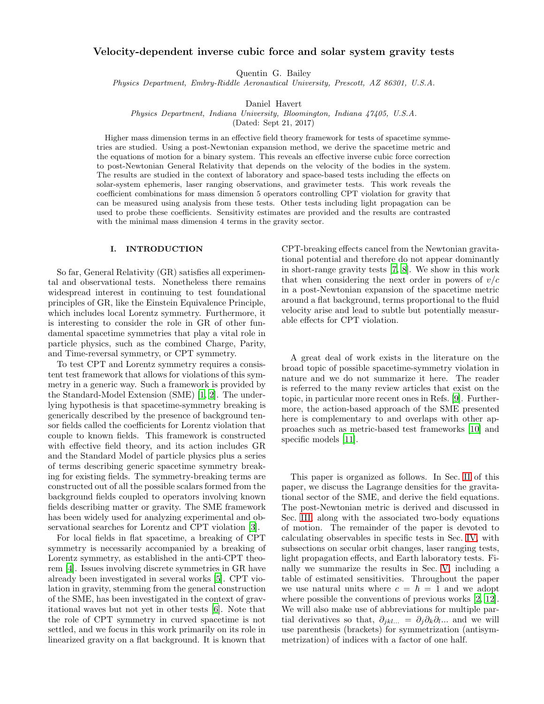# Velocity-dependent inverse cubic force and solar system gravity tests

Quentin G. Bailey

Physics Department, Embry-Riddle Aeronautical University, Prescott, AZ 86301, U.S.A.

Daniel Havert

Physics Department, Indiana University, Bloomington, Indiana 47405, U.S.A.

(Dated: Sept 21, 2017)

Higher mass dimension terms in an effective field theory framework for tests of spacetime symmetries are studied. Using a post-Newtonian expansion method, we derive the spacetime metric and the equations of motion for a binary system. This reveals an effective inverse cubic force correction to post-Newtonian General Relativity that depends on the velocity of the bodies in the system. The results are studied in the context of laboratory and space-based tests including the effects on solar-system ephemeris, laser ranging observations, and gravimeter tests. This work reveals the coefficient combinations for mass dimension 5 operators controlling CPT violation for gravity that can be measured using analysis from these tests. Other tests including light propagation can be used to probe these coefficients. Sensitivity estimates are provided and the results are contrasted with the minimal mass dimension 4 terms in the gravity sector.

## I. INTRODUCTION

So far, General Relativity (GR) satisfies all experimental and observational tests. Nonetheless there remains widespread interest in continuing to test foundational principles of GR, like the Einstein Equivalence Principle, which includes local Lorentz symmetry. Furthermore, it is interesting to consider the role in GR of other fundamental spacetime symmetries that play a vital role in particle physics, such as the combined Charge, Parity, and Time-reversal symmetry, or CPT symmetry.

To test CPT and Lorentz symmetry requires a consistent test framework that allows for violations of this symmetry in a generic way. Such a framework is provided by the Standard-Model Extension (SME) [\[1](#page-9-0), [2\]](#page-9-1). The underlying hypothesis is that spacetime-symmetry breaking is generically described by the presence of background tensor fields called the coefficients for Lorentz violation that couple to known fields. This framework is constructed with effective field theory, and its action includes GR and the Standard Model of particle physics plus a series of terms describing generic spacetime symmetry breaking for existing fields. The symmetry-breaking terms are constructed out of all the possible scalars formed from the background fields coupled to operators involving known fields describing matter or gravity. The SME framework has been widely used for analyzing experimental and observational searches for Lorentz and CPT violation [\[3](#page-9-2)].

For local fields in flat spacetime, a breaking of CPT symmetry is necessarily accompanied by a breaking of Lorentz symmetry, as established in the anti-CPT theorem [\[4](#page-9-3)]. Issues involving discrete symmetries in GR have already been investigated in several works [\[5](#page-9-4)]. CPT violation in gravity, stemming from the general construction of the SME, has been investigated in the context of gravitational waves but not yet in other tests [\[6\]](#page-9-5). Note that the role of CPT symmetry in curved spacetime is not settled, and we focus in this work primarily on its role in linearized gravity on a flat background. It is known that

CPT-breaking effects cancel from the Newtonian gravitational potential and therefore do not appear dominantly in short-range gravity tests [\[7,](#page-9-6) [8\]](#page-9-7). We show in this work that when considering the next order in powers of  $v/c$ in a post-Newtonian expansion of the spacetime metric around a flat background, terms proportional to the fluid velocity arise and lead to subtle but potentially measurable effects for CPT violation.

A great deal of work exists in the literature on the broad topic of possible spacetime-symmetry violation in nature and we do not summarize it here. The reader is referred to the many review articles that exist on the topic, in particular more recent ones in Refs. [\[9](#page-9-8)]. Furthermore, the action-based approach of the SME presented here is complementary to and overlaps with other approaches such as metric-based test frameworks [\[10\]](#page-10-0) and specific models [\[11\]](#page-10-1).

This paper is organized as follows. In Sec. [II](#page-2-0) of this paper, we discuss the Lagrange densities for the gravitational sector of the SME, and derive the field equations. The post-Newtonian metric is derived and discussed in Sec. [III,](#page-3-0) along with the associated two-body equations of motion. The remainder of the paper is devoted to calculating observables in specific tests in Sec. [IV,](#page-4-0) with subsections on secular orbit changes, laser ranging tests, light propagation effects, and Earth laboratory tests. Finally we summarize the results in Sec. [V,](#page-8-0) including a table of estimated sensitivities. Throughout the paper we use natural units where  $c = \hbar = 1$  and we adopt where possible the conventions of previous works [\[2,](#page-9-1) [12\]](#page-10-2). We will also make use of abbreviations for multiple partial derivatives so that,  $\partial_{jkl...} = \partial_j \partial_k \partial_l ...$  and we will use parenthesis (brackets) for symmetrization (antisymmetrization) of indices with a factor of one half.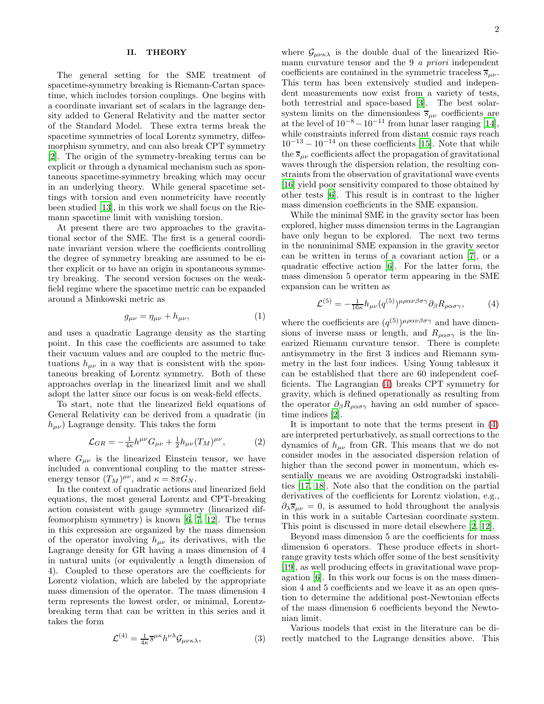#### <span id="page-2-0"></span>II. THEORY

The general setting for the SME treatment of spacetime-symmetry breaking is Riemann-Cartan spacetime, which includes torsion couplings. One begins with a coordinate invariant set of scalars in the lagrange density added to General Relativity and the matter sector of the Standard Model. These extra terms break the spacetime symmetries of local Lorentz symmetry, diffeomorphism symmetry, and can also break CPT symmetry [\[2\]](#page-9-1). The origin of the symmetry-breaking terms can be explicit or through a dynamical mechanism such as spontaneous spacetime-symmetry breaking which may occur in an underlying theory. While general spacetime settings with torsion and even nonmetricity have recently been studied [\[13\]](#page-10-3), in this work we shall focus on the Riemann spacetime limit with vanishing torsion.

At present there are two approaches to the gravitational sector of the SME. The first is a general coordinate invariant version where the coefficients controlling the degree of symmetry breaking are assumed to be either explicit or to have an origin in spontaneous symmetry breaking. The second version focuses on the weakfield regime where the spacetime metric can be expanded around a Minkowski metric as

$$
g_{\mu\nu} = \eta_{\mu\nu} + h_{\mu\nu},\tag{1}
$$

and uses a quadratic Lagrange density as the starting point. In this case the coefficients are assumed to take their vacuum values and are coupled to the metric fluctuations  $h_{\mu\nu}$  in a way that is consistent with the spontaneous breaking of Lorentz symmetry. Both of these approaches overlap in the linearized limit and we shall adopt the latter since our focus is on weak-field effects.

To start, note that the linearized field equations of General Relativity can be derived from a quadratic (in  $h_{\mu\nu}$ ) Lagrange density. This takes the form

<span id="page-2-3"></span>
$$
\mathcal{L}_{GR} = -\frac{1}{4\kappa} h^{\mu\nu} G_{\mu\nu} + \frac{1}{2} h_{\mu\nu} (T_M)^{\mu\nu}, \tag{2}
$$

where  $G_{\mu\nu}$  is the linearized Einstein tensor, we have included a conventional coupling to the matter stressenergy tensor  $(T_M)^{\mu\nu}$ , and  $\kappa = 8\pi G_N$ .

In the context of quadratic actions and linearized field equations, the most general Lorentz and CPT-breaking action consistent with gauge symmetry (linearized diffeomorphism symmetry) is known [\[6,](#page-9-5) [7,](#page-9-6) [12\]](#page-10-2). The terms in this expression are organized by the mass dimension of the operator involving  $h_{\mu\nu}$  its derivatives, with the Lagrange density for GR having a mass dimension of 4 in natural units (or equivalently a length dimension of 4). Coupled to these operators are the coefficients for Lorentz violation, which are labeled by the appropriate mass dimension of the operator. The mass dimension 4 term represents the lowest order, or minimal, Lorentzbreaking term that can be written in this series and it takes the form

<span id="page-2-2"></span>
$$
\mathcal{L}^{(4)} = \frac{1}{4\kappa} \overline{s}^{\mu\kappa} h^{\nu\lambda} \mathcal{G}_{\mu\nu\kappa\lambda},\tag{3}
$$

where  $\mathcal{G}_{\mu\nu\kappa\lambda}$  is the double dual of the linearized Riemann curvature tensor and the 9 *a priori* independent coefficients are contained in the symmetric traceless  $\overline{s}_{\mu\nu}$ . This term has been extensively studied and independent measurements now exist from a variety of tests, both terrestrial and space-based [\[3](#page-9-2)]. The best solarsystem limits on the dimensionless  $\bar{s}_{\mu\nu}$  coefficients are at the level of  $10^{-8} - 10^{-11}$  from lunar laser ranging [\[14\]](#page-10-4), while constraints inferred from distant cosmic rays reach  $10^{-13} - 10^{-14}$  on these coefficients [\[15\]](#page-10-5). Note that while the  $\overline{s}_{\mu\nu}$  coefficients affect the propagation of gravitational waves through the dispersion relation, the resulting constraints from the observation of gravitational wave events [\[16\]](#page-10-6) yield poor sensitivity compared to those obtained by other tests [\[6\]](#page-9-5). This result is in contrast to the higher mass dimension coefficients in the SME expansion.

While the minimal SME in the gravity sector has been explored, higher mass dimension terms in the Lagrangian have only begun to be explored. The next two terms in the nonminimal SME expansion in the gravity sector can be written in terms of a covariant action [\[7\]](#page-9-6), or a quadratic effective action [\[6](#page-9-5)]. For the latter form, the mass dimension 5 operator term appearing in the SME expansion can be written as

<span id="page-2-1"></span>
$$
\mathcal{L}^{(5)} = -\frac{1}{16\kappa} h_{\mu\nu} (q^{(5)})^{\mu\rho\alpha\nu\beta\sigma\gamma} \partial_{\beta} R_{\rho\alpha\sigma\gamma}, \tag{4}
$$

where the coefficients are  $(q^{(5)})^{\mu\rho\alpha\nu\beta\sigma\gamma}$  and have dimensions of inverse mass or length, and  $R_{\rho\alpha\sigma\gamma}$  is the linearized Riemann curvature tensor. There is complete antisymmetry in the first 3 indices and Riemann symmetry in the last four indices. Using Young tableaux it can be established that there are 60 independent coefficients. The Lagrangian [\(4\)](#page-2-1) breaks CPT symmetry for gravity, which is defined operationally as resulting from the operator  $\partial_{\beta}R_{\rho\alpha\sigma\gamma}$  having an odd number of spacetime indices [\[2](#page-9-1)].

It is important to note that the terms present in [\(4\)](#page-2-1) are interpreted perturbatively, as small corrections to the dynamics of  $h_{\mu\nu}$  from GR. This means that we do not consider modes in the associated dispersion relation of higher than the second power in momentum, which essentially means we are avoiding Ostrogradski instabilities [\[17](#page-10-7), [18\]](#page-10-8). Note also that the condition on the partial derivatives of the coefficients for Lorentz violation, e.g.,  $\partial_{\lambda}\overline{s}_{\mu\nu}=0$ , is assumed to hold throughout the analysis in this work in a suitable Cartesian coordinate system. This point is discussed in more detail elsewhere [\[2,](#page-9-1) [12\]](#page-10-2).

Beyond mass dimension 5 are the coefficients for mass dimension 6 operators. These produce effects in shortrange gravity tests which offer some of the best sensitivity [\[19\]](#page-10-9), as well producing effects in gravitational wave propagation [\[6\]](#page-9-5). In this work our focus is on the mass dimension 4 and 5 coefficients and we leave it as an open question to determine the additional post-Newtonian effects of the mass dimension 6 coefficients beyond the Newtonian limit.

Various models that exist in the literature can be directly matched to the Lagrange densities above. This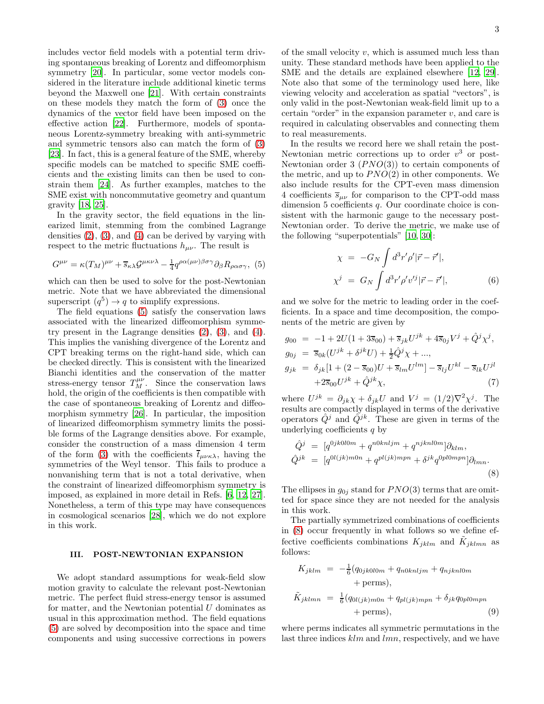includes vector field models with a potential term driving spontaneous breaking of Lorentz and diffeomorphism symmetry [\[20](#page-10-10)]. In particular, some vector models considered in the literature include additional kinetic terms beyond the Maxwell one [\[21](#page-10-11)]. With certain constraints on these models they match the form of [\(3\)](#page-2-2) once the dynamics of the vector field have been imposed on the effective action [\[22](#page-10-12)]. Furthermore, models of spontaneous Lorentz-symmetry breaking with anti-symmetric and symmetric tensors also can match the form of [\(3\)](#page-2-2) [\[23\]](#page-10-13). In fact, this is a general feature of the SME, whereby specific models can be matched to specific SME coefficients and the existing limits can then be used to constrain them [\[24\]](#page-10-14). As further examples, matches to the SME exist with noncommutative geometry and quantum gravity [\[18,](#page-10-8) [25\]](#page-10-15).

In the gravity sector, the field equations in the linearized limit, stemming from the combined Lagrange densities  $(2)$ ,  $(3)$ , and  $(4)$  can be derived by varying with respect to the metric fluctuations  $h_{\mu\nu}$ . The result is

<span id="page-3-1"></span>
$$
G^{\mu\nu} = \kappa (T_M)^{\mu\nu} + \overline{s}_{\kappa\lambda} \mathcal{G}^{\mu\kappa\nu\lambda} - \frac{1}{4} q^{\rho\alpha(\mu\nu)\beta\sigma\gamma} \partial_\beta R_{\rho\alpha\sigma\gamma}, \tag{5}
$$

which can then be used to solve for the post-Newtonian metric. Note that we have abbreviated the dimensional superscript  $(q^5) \rightarrow q$  to simplify expressions.

The field equations [\(5\)](#page-3-1) satisfy the conservation laws associated with the linearized diffeomorphism symmetry present in the Lagrange densities [\(2\)](#page-2-3), [\(3\)](#page-2-2), and [\(4\)](#page-2-1). This implies the vanishing divergence of the Lorentz and CPT breaking terms on the right-hand side, which can be checked directly. This is consistent with the linearized Bianchi identities and the conservation of the matter stress-energy tensor  $T_M^{\mu\nu}$ . Since the conservation laws hold, the origin of the coefficients is then compatible with the case of spontaneous breaking of Lorentz and diffeomorphism symmetry [\[26](#page-10-16)]. In particular, the imposition of linearized diffeomorphism symmetry limits the possible forms of the Lagrange densities above. For example, consider the construction of a mass dimension 4 term of the form [\(3\)](#page-2-2) with the coefficients  $\overline{t}_{\mu\nu\kappa\lambda}$ , having the symmetries of the Weyl tensor. This fails to produce a nonvanishing term that is not a total derivative, when the constraint of linearized diffeomorphism symmetry is imposed, as explained in more detail in Refs. [\[6](#page-9-5), [12,](#page-10-2) [27\]](#page-10-17). Nonetheless, a term of this type may have consequences in cosmological scenarios [\[28](#page-10-18)], which we do not explore in this work.

## <span id="page-3-0"></span>III. POST-NEWTONIAN EXPANSION

We adopt standard assumptions for weak-field slow motion gravity to calculate the relevant post-Newtonian metric. The perfect fluid stress-energy tensor is assumed for matter, and the Newtonian potential  $U$  dominates as usual in this approximation method. The field equations [\(5\)](#page-3-1) are solved by decomposition into the space and time components and using successive corrections in powers of the small velocity  $v$ , which is assumed much less than unity. These standard methods have been applied to the SME and the details are explained elsewhere [\[12,](#page-10-2) [29\]](#page-10-19). Note also that some of the terminology used here, like viewing velocity and acceleration as spatial "vectors", is only valid in the post-Newtonian weak-field limit up to a certain "order" in the expansion parameter  $v$ , and care is required in calculating observables and connecting them to real measurements.

In the results we record here we shall retain the post-Newtonian metric corrections up to order  $v^3$  or post-Newtonian order 3  $(PNO(3))$  to certain components of the metric, and up to  $PNO(2)$  in other components. We also include results for the CPT-even mass dimension 4 coefficients  $\bar{s}_{\mu\nu}$  for comparison to the CPT-odd mass dimension 5 coefficients q. Our coordinate choice is consistent with the harmonic gauge to the necessary post-Newtonian order. To derive the metric, we make use of the following "superpotentials" [\[10,](#page-10-0) [30\]](#page-10-20):

<span id="page-3-5"></span>
$$
\chi = -G_N \int d^3r' \rho' |\vec{r} - \vec{r}'|,
$$
  

$$
\chi^j = G_N \int d^3r' \rho' v'^j |\vec{r} - \vec{r}'|,
$$
 (6)

and we solve for the metric to leading order in the coefficients. In a space and time decomposition, the components of the metric are given by

<span id="page-3-4"></span>
$$
g_{00} = -1 + 2U(1 + 3\overline{s}_{00}) + \overline{s}_{jk}U^{jk} + 4\overline{s}_{0j}V^{j} + \hat{Q}^{j}\chi^{j},
$$
  
\n
$$
g_{0j} = \overline{s}_{0k}(U^{jk} + \delta^{jk}U) + \frac{1}{2}\hat{Q}^{j}\chi + ...,
$$
  
\n
$$
g_{jk} = \delta_{jk}[1 + (2 - \overline{s}_{00})U + \overline{s}_{lm}U^{lm}] - \overline{s}_{lj}U^{kl} - \overline{s}_{lk}U^{jl}
$$
  
\n
$$
+2\overline{s}_{00}U^{jk} + \hat{Q}^{jk}\chi,
$$
  
\n(7)

where  $U^{jk} = \partial_{jk}\chi + \delta_{jk}U$  and  $V^j = (1/2)\nabla^2\chi^j$ . The results are compactly displayed in terms of the derivative operators  $\hat{Q}^j$  and  $\hat{Q}^{jk}$ . These are given in terms of the underlying coefficients  $q$  by

<span id="page-3-2"></span>
$$
\hat{Q}^j = [q^{0jk0l0m} + q^{n0knljm} + q^{njknl0m}] \partial_{klm},
$$
  
\n
$$
\hat{Q}^{jk} = [q^{0l(jk)mn} + q^{pl(jk)mpn} + \delta^{jk} q^{0pl0mpn}] \partial_{lmn}.
$$
\n(8)

The ellipses in  $g_{0i}$  stand for  $PNO(3)$  terms that are omitted for space since they are not needed for the analysis in this work.

The partially symmetrized combinations of coefficients in [\(8\)](#page-3-2) occur frequently in what follows so we define effective coefficients combinations  $K_{jklm}$  and  $\tilde{K}_{jklmn}$  as follows:

<span id="page-3-3"></span>
$$
K_{jklm} = -\frac{1}{6}(q_{0jk0l0m} + q_{n0knljm} + q_{njknl0m} + \text{perms}),
$$
  
\n
$$
\tilde{K}_{jklmn} = \frac{1}{6}(q_{0l(jk)mn} + q_{pl(jk)mpn} + \delta_{jk}q_{0pl0mpn} + \text{perms}),
$$
  
\n(9)

where perms indicates all symmetric permutations in the last three indices  $klm$  and  $lmn$ , respectively, and we have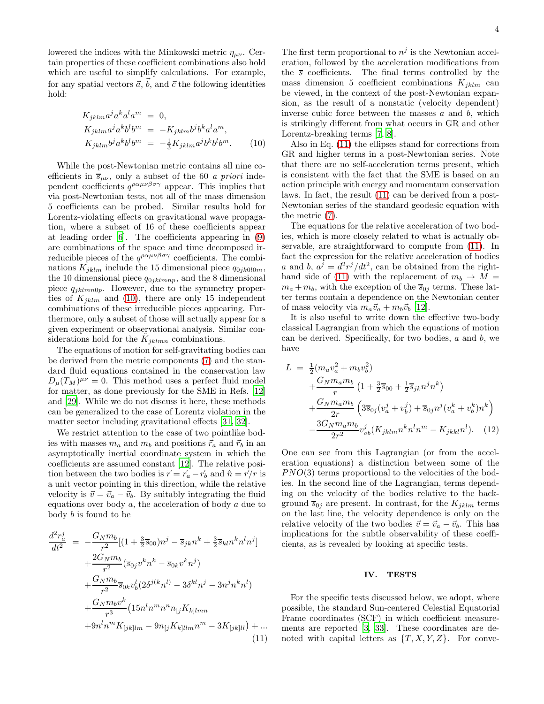lowered the indices with the Minkowski metric  $\eta_{\mu\nu}$ . Certain properties of these coefficient combinations also hold which are useful to simplify calculations. For example, for any spatial vectors  $\vec{a}, \vec{b}$ , and  $\vec{c}$  the following identities hold:

<span id="page-4-1"></span>
$$
K_{jklm}a^j a^k a^l a^m = 0,
$$
  
\n
$$
K_{jklm}a^j a^k b^l b^m = -K_{jklm}b^j b^k a^l a^m,
$$
  
\n
$$
K_{jklm}b^j a^k b^l b^m = -\frac{1}{3} K_{jklm} a^j b^k b^l b^m.
$$
 (10)

While the post-Newtonian metric contains all nine coefficients in  $\overline{s}_{\mu\nu}$ , only a subset of the 60 *a priori* independent coefficients  $q^{\rho\alpha\mu\nu\beta\sigma\gamma}$  appear. This implies that via post-Newtonian tests, not all of the mass dimension 5 coefficients can be probed. Similar results hold for Lorentz-violating effects on gravitational wave propagation, where a subset of 16 of these coefficients appear at leading order [\[6](#page-9-5)]. The coefficients appearing in [\(9\)](#page-3-3) are combinations of the space and time decomposed irreducible pieces of the  $q^{\rho\alpha\mu\nu\beta\sigma\gamma}$  coefficients. The combinations  $K_{jklm}$  include the 15 dimensional piece  $q_{0jk0l0m}$ , the 10 dimensional piece  $q_{0jklmnp}$ , and the 8 dimensional piece  $q_{jklmn0p}$ . However, due to the symmetry properties of  $K_{iklm}$  and [\(10\)](#page-4-1), there are only 15 independent combinations of these irreducible pieces appearing. Furthermore, only a subset of those will actually appear for a given experiment or observational analysis. Similar considerations hold for the  $\tilde{K}_{jklmn}$  combinations.

The equations of motion for self-gravitating bodies can be derived from the metric components [\(7\)](#page-3-4) and the standard fluid equations contained in the conservation law  $D_{\mu}(T_M)^{\mu\nu} = 0$ . This method uses a perfect fluid model for matter, as done previously for the SME in Refs. [\[12](#page-10-2)] and [\[29\]](#page-10-19). While we do not discuss it here, these methods can be generalized to the case of Lorentz violation in the matter sector including gravitational effects [\[31,](#page-10-21) [32](#page-10-22)].

We restrict attention to the case of two pointlike bodies with masses  $m_a$  and  $m_b$  and positions  $\vec{r}_a$  and  $\vec{r}_b$  in an asymptotically inertial coordinate system in which the coefficients are assumed constant [\[12\]](#page-10-2). The relative position between the two bodies is  $\vec{r} = \vec{r}_a - \vec{r}_b$  and  $\hat{n} = \vec{r}/r$  is a unit vector pointing in this direction, while the relative velocity is  $\vec{v} = \vec{v}_a - \vec{v}_b$ . By suitably integrating the fluid equations over body a, the acceleration of body a due to body b is found to be

<span id="page-4-2"></span>
$$
\frac{d^2r_a^j}{dt^2} = -\frac{G_N m_b}{r^2} [(1 + \frac{3}{2}\overline{s}_{00})n^j - \overline{s}_{jk}n^k + \frac{3}{2}\overline{s}_{kl}n^kn^ln^j] \n+ \frac{2G_N m_b}{r^2} (\overline{s}_{0j}v^kn^k - \overline{s}_{0k}v^kn^j) \n+ \frac{G_N m_b}{r^2}\overline{s}_{0k}v_b^l (2\delta^{j(k}n^l) - 3\delta^{kl}n^j - 3n^jn^kn^l) \n+ \frac{G_N m_b v^k}{r^3} (15n^ln^mn^n_{[j}K_{k]lmn} \n+ 9n^ln^m K_{[jk]lm} - 9n_{[j}K_{k]lm}n^m - 3K_{[jk]ll} ) + ...
$$
\n(11)

The first term proportional to  $n^j$  is the Newtonian acceleration, followed by the acceleration modifications from the  $\overline{s}$  coefficients. The final terms controlled by the mass dimension 5 coefficient combinations  $K_{jklm}$  can be viewed, in the context of the post-Newtonian expansion, as the result of a nonstatic (velocity dependent) inverse cubic force between the masses  $a$  and  $b$ , which is strikingly different from what occurs in GR and other Lorentz-breaking terms [\[7,](#page-9-6) [8\]](#page-9-7).

Also in Eq. [\(11\)](#page-4-2) the ellipses stand for corrections from GR and higher terms in a post-Newtonian series. Note that there are no self-acceleration terms present, which is consistent with the fact that the SME is based on an action principle with energy and momentum conservation laws. In fact, the result [\(11\)](#page-4-2) can be derived from a post-Newtonian series of the standard geodesic equation with the metric [\(7\)](#page-3-4).

The equations for the relative acceleration of two bodies, which is more closely related to what is actually observable, are straightforward to compute from [\(11\)](#page-4-2). In fact the expression for the relative acceleration of bodies a and b,  $a^j = d^2r^j/dt^2$ , can be obtained from the right-hand side of [\(11\)](#page-4-2) with the replacement of  $m_b \to M =$  $m_a + m_b$ , with the exception of the  $\overline{s}_{0j}$  terms. These latter terms contain a dependence on the Newtonian center of mass velocity via  $m_a\vec{v}_a + m_b\vec{v}_b$  [\[12](#page-10-2)].

It is also useful to write down the effective two-body classical Lagrangian from which the equations of motion can be derived. Specifically, for two bodies,  $a$  and  $b$ , we have

<span id="page-4-3"></span>
$$
L = \frac{1}{2} (m_a v_a^2 + m_b v_b^2)
$$
  
+ 
$$
\frac{G_N m_a m_b}{r} (1 + \frac{3}{2} \overline{s}_{00} + \frac{1}{2} \overline{s}_{jk} n^j n^k)
$$
  
+ 
$$
\frac{G_N m_a m_b}{2r} (3 \overline{s}_{0j} (v_a^j + v_b^j) + \overline{s}_{0j} n^j (v_a^k + v_b^k) n^k)
$$
  
- 
$$
\frac{3G_N m_a m_b}{2r^2} v_{ab}^j (K_{jklm} n^k n^l n^m - K_{jkkl} n^l).
$$
 (12)

One can see from this Lagrangian (or from the acceleration equations) a distinction between some of the  $PNO(3)$  terms proportional to the velocities of the bodies. In the second line of the Lagrangian, terms depending on the velocity of the bodies relative to the background  $\overline{s}_{0j}$  are present. In contrast, for the  $K_{jklm}$  terms on the last line, the velocity dependence is only on the relative velocity of the two bodies  $\vec{v} = \vec{v}_a - \vec{v}_b$ . This has implications for the subtle observability of these coefficients, as is revealed by looking at specific tests.

#### <span id="page-4-0"></span>IV. TESTS

For the specific tests discussed below, we adopt, where possible, the standard Sun-centered Celestial Equatorial Frame coordinates (SCF) in which coefficient measurements are reported [\[3,](#page-9-2) [33](#page-10-23)]. These coordinates are denoted with capital letters as  $\{T, X, Y, Z\}$ . For conve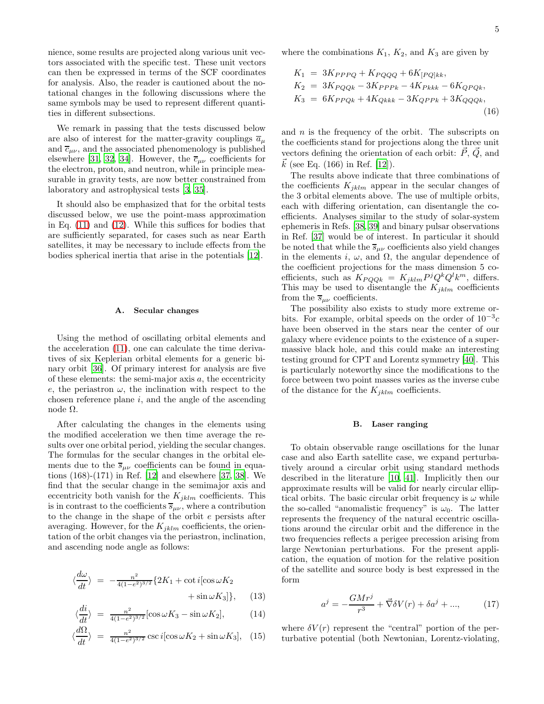nience, some results are projected along various unit vectors associated with the specific test. These unit vectors can then be expressed in terms of the SCF coordinates for analysis. Also, the reader is cautioned about the notational changes in the following discussions where the same symbols may be used to represent different quantities in different subsections.

We remark in passing that the tests discussed below are also of interest for the matter-gravity couplings  $\overline{a}_{\mu}$ and  $\overline{c}_{\mu\nu}$ , and the associated phenomenology is published elsewhere [\[31,](#page-10-21) [32](#page-10-22), [34\]](#page-10-24). However, the  $\overline{c}_{\mu\nu}$  coefficients for the electron, proton, and neutron, while in principle measurable in gravity tests, are now better constrained from laboratory and astrophysical tests [\[3](#page-9-2), [35](#page-10-25)].

It should also be emphasized that for the orbital tests discussed below, we use the point-mass approximation in Eq. [\(11\)](#page-4-2) and [\(12\)](#page-4-3). While this suffices for bodies that are sufficiently separated, for cases such as near Earth satellites, it may be necessary to include effects from the bodies spherical inertia that arise in the potentials [\[12\]](#page-10-2).

#### A. Secular changes

Using the method of oscillating orbital elements and the acceleration [\(11\)](#page-4-2), one can calculate the time derivatives of six Keplerian orbital elements for a generic binary orbit [\[36\]](#page-10-26). Of primary interest for analysis are five of these elements: the semi-major axis  $a$ , the eccentricity e, the periastron  $\omega$ , the inclination with respect to the chosen reference plane  $i$ , and the angle of the ascending node Ω.

After calculating the changes in the elements using the modified acceleration we then time average the results over one orbital period, yielding the secular changes. The formulas for the secular changes in the orbital elements due to the  $\overline{s}_{\mu\nu}$  coefficients can be found in equations (168)-(171) in Ref. [\[12](#page-10-2)] and elsewhere [\[37,](#page-10-27) [38](#page-10-28)]. We find that the secular change in the semimajor axis and eccentricity both vanish for the  $K_{jklm}$  coefficients. This is in contrast to the coefficients  $\overline{s}_{\mu\nu}$ , where a contribution to the change in the shape of the orbit  $e$  persists after averaging. However, for the  $K_{jklm}$  coefficients, the orientation of the orbit changes via the periastron, inclination, and ascending node angle as follows:

<span id="page-5-0"></span>
$$
\langle \frac{d\omega}{dt} \rangle = -\frac{n^2}{4(1 - e^2)^{3/2}} \{ 2K_1 + \cot i[\cos \omega K_2 + \sin \omega K_3] \}, \quad (13)
$$

$$
\langle \frac{di}{dt} \rangle = \frac{n^2}{4(1 - e^2)^{3/2}} [\cos \omega K_3 - \sin \omega K_2], \quad (14)
$$

$$
\langle \frac{d\Omega}{dt} \rangle = \frac{n^2}{4(1 - e^2)^{3/2}} \csc i \left[ \cos \omega K_2 + \sin \omega K_3 \right], \quad (15)
$$

where the combinations  $K_1$ ,  $K_2$ , and  $K_3$  are given by

$$
K_1 = 3K_{PPPQ} + K_{PQQQ} + 6K_{[PQ]kk},
$$
  
\n
$$
K_2 = 3K_{PQQk} - 3K_{PPPk} - 4K_{Pkkk} - 6K_{QPQk},
$$
  
\n
$$
K_3 = 6K_{PPQk} + 4K_{Qkkk} - 3K_{QPPk} + 3K_{QQQk},
$$
  
\n(16)

and  $n$  is the frequency of the orbit. The subscripts on the coefficients stand for projections along the three unit vectors defining the orientation of each orbit:  $\vec{P}, \vec{Q}$ , and  $k$  (see Eq. (166) in Ref. [\[12](#page-10-2)]).

The results above indicate that three combinations of the coefficients  $K_{jklm}$  appear in the secular changes of the 3 orbital elements above. The use of multiple orbits, each with differing orientation, can disentangle the coefficients. Analyses similar to the study of solar-system ephemeris in Refs. [\[38](#page-10-28), [39](#page-10-29)] and binary pulsar observations in Ref. [\[37\]](#page-10-27) would be of interest. In particular it should be noted that while the  $\overline{s}_{\mu\nu}$  coefficients also yield changes in the elements i,  $\omega$ , and  $\Omega$ , the angular dependence of the coefficient projections for the mass dimension 5 coefficients, such as  $K_{PQQk} = K_{jklm} P^{j} Q^{k} Q^{l} k^{m}$ , differs. This may be used to disentangle the  $K_{jklm}$  coefficients from the  $\overline{s}_{\mu\nu}$  coefficients.

The possibility also exists to study more extreme orbits. For example, orbital speeds on the order of  $10^{-3}c$ have been observed in the stars near the center of our galaxy where evidence points to the existence of a supermassive black hole, and this could make an interesting testing ground for CPT and Lorentz symmetry [\[40\]](#page-10-30). This is particularly noteworthy since the modifications to the force between two point masses varies as the inverse cube of the distance for the  $K_{jklm}$  coefficients.

#### B. Laser ranging

To obtain observable range oscillations for the lunar case and also Earth satellite case, we expand perturbatively around a circular orbit using standard methods described in the literature [\[10](#page-10-0), [41](#page-10-31)]. Implicitly then our approximate results will be valid for nearly circular elliptical orbits. The basic circular orbit frequency is  $\omega$  while the so-called "anomalistic frequency" is  $\omega_0$ . The latter represents the frequency of the natural eccentric oscillations around the circular orbit and the difference in the two frequencies reflects a perigee precession arising from large Newtonian perturbations. For the present application, the equation of motion for the relative position of the satellite and source body is best expressed in the form

$$
a^{j} = -\frac{GMr^{j}}{r^{3}} + \vec{\nabla}\delta V(r) + \delta a^{j} + ..., \qquad (17)
$$

where  $\delta V(r)$  represent the "central" portion of the perturbative potential (both Newtonian, Lorentz-violating,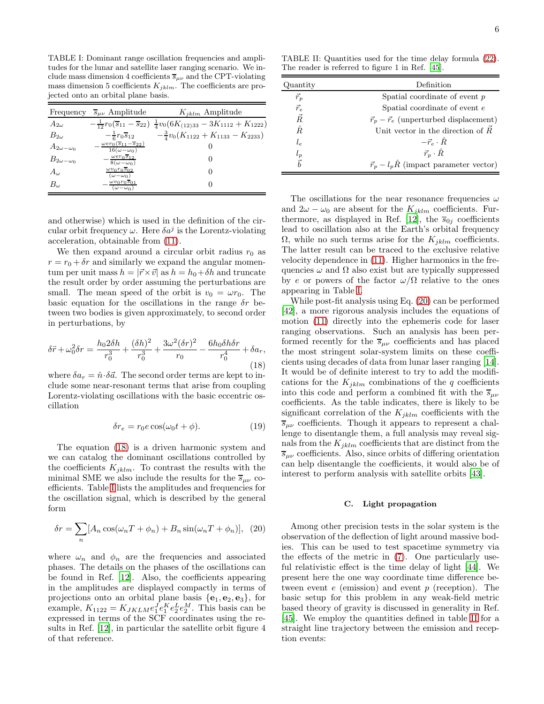<span id="page-6-1"></span>TABLE I: Dominant range oscillation frequencies and amplitudes for the lunar and satellite laser ranging scenario. We include mass dimension 4 coefficients  $\overline{s}_{\mu\nu}$  and the CPT-violating mass dimension 5 coefficients  $K_{jklm}$ . The coefficients are projected onto an orbital plane basis.

|                        | Frequency $\bar{s}_{\mu\nu}$ Amplitude                                                          | $K_{jklm}$ Amplitude                                                                                   |
|------------------------|-------------------------------------------------------------------------------------------------|--------------------------------------------------------------------------------------------------------|
| $A_{2\omega}$          |                                                                                                 | $-\frac{1}{12}r_0(\overline{s}_{11}-\overline{s}_{22}) \frac{1}{4}v_0(6K_{(12)33}-3K_{1112}+K_{1222})$ |
| $B_{2\omega}$          |                                                                                                 | $-\frac{1}{6}r_0\overline{s}_{12}$ $-\frac{3}{4}v_0(K_{1122}+K_{1133}-K_{2233})$                       |
| $A_{2\omega-\omega_0}$ | $\omega$ er <sub>0</sub> ( $\overline{s}_{11}$ - $\overline{s}_{22}$ )<br>$16(\omega-\omega_0)$ |                                                                                                        |
| $B_{2\omega-\omega_0}$ | $\omega er_0s_{12}$<br>$\sqrt{8(\omega-\omega_0)}$                                              |                                                                                                        |
| $A_{\omega}$           | $\omega v_0 r_0 s_{02}$<br>$(\omega - \omega_0)$                                                |                                                                                                        |
| $B_{\omega}$           | $\omega v_0 r_0 s_{01}$<br>$(\omega - \omega_0)$                                                |                                                                                                        |

and otherwise) which is used in the definition of the circular orbit frequency  $\omega$ . Here  $\delta a^j$  is the Lorentz-violating acceleration, obtainable from [\(11\)](#page-4-2).

We then expand around a circular orbit radius  $r_0$  as  $r = r_0 + \delta r$  and similarly we expand the angular momentum per unit mass  $h = |\vec{r} \times \vec{v}|$  as  $h = h_0 + \delta h$  and truncate the result order by order assuming the perturbations are small. The mean speed of the orbit is  $v_0 = \omega r_0$ . The basic equation for the oscillations in the range  $\delta r$  between two bodies is given approximately, to second order in perturbations, by

<span id="page-6-0"></span>
$$
\delta \ddot{r} + \omega_0^2 \delta r = \frac{h_0 2\delta h}{r_0^3} + \frac{(\delta h)^2}{r_0^3} + \frac{3\omega^2 (\delta r)^2}{r_0} - \frac{6h_0 \delta h \delta r}{r_0^4} + \delta a_r,\tag{18}
$$

where  $\delta a_r = \hat{n} \cdot \delta \vec{a}$ . The second order terms are kept to include some near-resonant terms that arise from coupling Lorentz-violating oscillations with the basic eccentric oscillation

$$
\delta r_e = r_0 e \cos(\omega_0 t + \phi). \tag{19}
$$

The equation [\(18\)](#page-6-0) is a driven harmonic system and we can catalog the dominant oscillations controlled by the coefficients  $K_{jklm}$ . To contrast the results with the minimal SME we also include the results for the  $\overline{s}_{\mu\nu}$  coefficients. Table [I](#page-6-1) lists the amplitudes and frequencies for the oscillation signal, which is described by the general form

<span id="page-6-2"></span>
$$
\delta r = \sum_{n} [A_n \cos(\omega_n T + \phi_n) + B_n \sin(\omega_n T + \phi_n)], \tag{20}
$$

where  $\omega_n$  and  $\phi_n$  are the frequencies and associated phases. The details on the phases of the oscillations can be found in Ref. [\[12\]](#page-10-2). Also, the coefficients appearing in the amplitudes are displayed compactly in terms of projections onto an orbital plane basis  $\{e_1, e_2, e_3\}$ , for example,  $K_{1122} = K_{JKLM}e_1^Ie_1^Ke_2^Le_2^M$ . This basis can be expressed in terms of the SCF coordinates using the results in Ref. [\[12](#page-10-2)], in particular the satellite orbit figure 4 of that reference.

<span id="page-6-3"></span>TABLE II: Quantities used for the time delay formula [\(22\)](#page-7-0). The reader is referred to figure 1 in Ref. [\[45](#page-10-32)].

| Quantity        | Definition                                          |  |
|-----------------|-----------------------------------------------------|--|
| $\vec{r}_p$     | Spatial coordinate of event p                       |  |
| $\vec{r}_{e}$   | Spatial coordinate of event e                       |  |
| $\vec{R}$       | $\vec{r}_p - \vec{r}_e$ (unperturbed displacement)  |  |
| Ŕ               | Unit vector in the direction of $\vec{R}$           |  |
| $l_e$           | $-\vec{r}_e \cdot \hat{R}$                          |  |
|                 | $\vec{r}_n \cdot \hat{R}$                           |  |
| $l_p$ $\vec{b}$ | $\vec{r}_p - l_p \hat{R}$ (impact parameter vector) |  |

The oscillations for the near resonance frequencies  $\omega$ and  $2\omega - \omega_0$  are absent for the  $K_{jklm}$  coefficients. Fur-thermore, as displayed in Ref. [\[12](#page-10-2)], the  $\overline{s}_{0j}$  coefficients lead to oscillation also at the Earth's orbital frequency Ω, while no such terms arise for the  $K_{jklm}$  coefficients. The latter result can be traced to the exclusive relative velocity dependence in [\(11\)](#page-4-2). Higher harmonics in the frequencies  $\omega$  and  $\Omega$  also exist but are typically suppressed by e or powers of the factor  $\omega/\Omega$  relative to the ones appearing in Table [I.](#page-6-1)

While post-fit analysis using Eq. [\(20\)](#page-6-2) can be performed [\[42\]](#page-10-33), a more rigorous analysis includes the equations of motion [\(11\)](#page-4-2) directly into the ephemeris code for laser ranging observations. Such an analysis has been performed recently for the  $\overline{s}_{\mu\nu}$  coefficients and has placed the most stringent solar-system limits on these coefficients using decades of data from lunar laser ranging [\[14\]](#page-10-4). It would be of definite interest to try to add the modifications for the  $K_{jklm}$  combinations of the q coefficients into this code and perform a combined fit with the  $\overline{s}_{\mu\nu}$ coefficients. As the table indicates, there is likely to be significant correlation of the  $K_{jklm}$  coefficients with the  $\overline{s}_{\mu\nu}$  coefficients. Though it appears to represent a challenge to disentangle them, a full analysis may reveal signals from the  $K_{jklm}$  coefficients that are distinct from the  $\overline{s}_{\mu\nu}$  coefficients. Also, since orbits of differing orientation can help disentangle the coefficients, it would also be of interest to perform analysis with satellite orbits [\[43\]](#page-10-34).

#### C. Light propagation

Among other precision tests in the solar system is the observation of the deflection of light around massive bodies. This can be used to test spacetime symmetry via the effects of the metric in [\(7\)](#page-3-4). One particularly useful relativistic effect is the time delay of light [\[44](#page-10-35)]. We present here the one way coordinate time difference between event  $e$  (emission) and event  $p$  (reception). The basic setup for this problem in any weak-field metric based theory of gravity is discussed in generality in Ref. [\[45\]](#page-10-32). We employ the quantities defined in table [II](#page-6-3) for a straight line trajectory between the emission and reception events: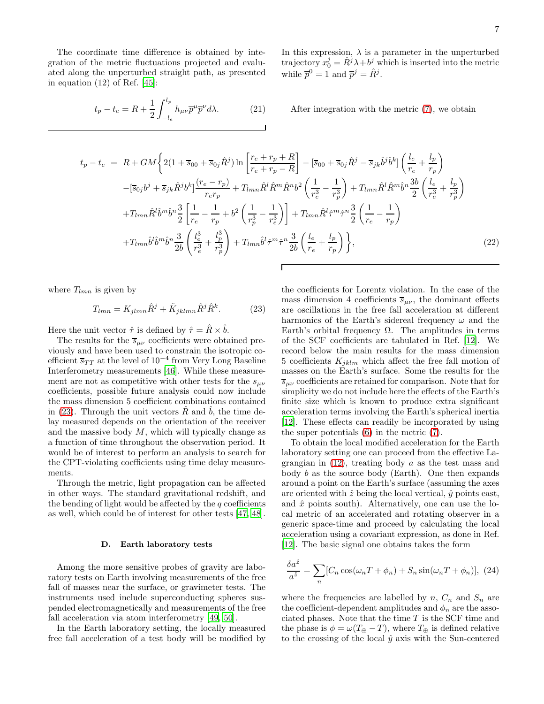The coordinate time difference is obtained by integration of the metric fluctuations projected and evaluated along the unperturbed straight path, as presented in equation (12) of Ref. [\[45](#page-10-32)]:

$$
t_p - t_e = R + \frac{1}{2} \int_{-l_e}^{l_p} h_{\mu\nu} \overline{p}^{\mu} \overline{p}^{\nu} d\lambda.
$$
 (21)

In this expression,  $\lambda$  is a parameter in the unperturbed trajectory  $x_0^j = \hat{R}^j \lambda + b^j$  which is inserted into the metric while  $\overline{p}^0 = 1$  and  $\overline{p}^j = \hat{R}^j$ .

# After integration with the metric [\(7\)](#page-3-4), we obtain

<span id="page-7-0"></span>
$$
t_{p} - t_{e} = R + GM \left\{ 2(1 + \overline{s}_{00} + \overline{s}_{0j}\hat{R}^{j}) \ln \left[ \frac{r_{e} + r_{p} + R}{r_{e} + r_{p} - R} \right] - \left[ \overline{s}_{00} + \overline{s}_{0j}\hat{R}^{j} - \overline{s}_{jk}\hat{b}^{j}\hat{b}^{k} \right] \left( \frac{l_{e}}{r_{e}} + \frac{l_{p}}{r_{p}} \right) - \left[ \overline{s}_{0j}\hat{b}^{j} + \overline{s}_{jk}\hat{R}^{j}\hat{b}^{k} \right] \frac{(r_{e} - r_{p})}{r_{e}r_{p}} + T_{lmn}\hat{R}^{l}\hat{R}^{m}\hat{R}^{n}b^{2} \left( \frac{1}{r_{e}^{3}} - \frac{1}{r_{p}^{3}} \right) + T_{lmn}\hat{R}^{l}\hat{R}^{m}\hat{b}^{n}\frac{3b}{2} \left( \frac{l_{e}}{r_{e}^{3}} + \frac{l_{p}}{r_{p}^{3}} \right) + T_{lmn}\hat{R}^{l}\hat{b}^{m}\hat{b}^{n}\frac{3}{2} \left[ \frac{1}{r_{e}} - \frac{1}{r_{p}} + b^{2} \left( \frac{1}{r_{p}^{3}} - \frac{1}{r_{e}^{3}} \right) \right] + T_{lmn}\hat{R}^{l}\hat{\tau}^{m}\hat{\tau}^{n}\frac{3}{2} \left( \frac{1}{r_{e}} - \frac{1}{r_{p}} \right) + T_{lmn}\hat{b}^{l}\hat{b}^{m}\hat{b}^{n}\frac{3}{2b} \left( \frac{l_{e}^{l}}{r_{e}^{3}} + \frac{l_{p}^{3}}{r_{p}^{3}} \right) + T_{lmn}\hat{b}^{l}\hat{\tau}^{m}\hat{\tau}^{n}\frac{3}{2b} \left( \frac{l_{e}}{r_{e}} + \frac{l_{p}}{r_{p}} \right) \right\},
$$
\n(22)

where  $T_{lmn}$  is given by

<span id="page-7-1"></span>
$$
T_{lmn} = K_{jlmn}\hat{R}^j + \tilde{K}_{jklmn}\hat{R}^j\hat{R}^k.
$$
 (23)

Here the unit vector  $\hat{\tau}$  is defined by  $\hat{\tau} = \hat{R} \times \hat{b}$ .

The results for the  $\overline{s}_{\mu\nu}$  coefficients were obtained previously and have been used to constrain the isotropic coefficient  $\overline{s}_{TT}$  at the level of 10<sup>-4</sup> from Very Long Baseline Interferometry measurements [\[46\]](#page-10-36). While these measurement are not as competitive with other tests for the  $\overline{s}_{\mu\nu}$ coefficients, possible future analysis could now include the mass dimension 5 coefficient combinations contained in [\(23\)](#page-7-1). Through the unit vectors R and b, the time delay measured depends on the orientation of the receiver and the massive body  $M$ , which will typically change as a function of time throughout the observation period. It would be of interest to perform an analysis to search for the CPT-violating coefficients using time delay measurements.

Through the metric, light propagation can be affected in other ways. The standard gravitational redshift, and the bending of light would be affected by the  $q$  coefficients as well, which could be of interest for other tests [\[47,](#page-10-37) [48\]](#page-10-38).

#### D. Earth laboratory tests

Among the more sensitive probes of gravity are laboratory tests on Earth involving measurements of the free fall of masses near the surface, or gravimeter tests. The instruments used include superconducting spheres suspended electromagnetically and measurements of the free fall acceleration via atom interferometry [\[49,](#page-10-39) [50\]](#page-10-40).

In the Earth laboratory setting, the locally measured free fall acceleration of a test body will be modified by

the coefficients for Lorentz violation. In the case of the mass dimension 4 coefficients  $\overline{s}_{\mu\nu}$ , the dominant effects are oscillations in the free fall acceleration at different harmonics of the Earth's sidereal frequency  $\omega$  and the Earth's orbital frequency  $\Omega$ . The amplitudes in terms of the SCF coefficients are tabulated in Ref. [\[12\]](#page-10-2). We record below the main results for the mass dimension 5 coefficients  $K_{jklm}$  which affect the free fall motion of masses on the Earth's surface. Some the results for the  $\overline{s}_{\mu\nu}$  coefficients are retained for comparison. Note that for simplicity we do not include here the effects of the Earth's finite size which is known to produce extra significant acceleration terms involving the Earth's spherical inertia [\[12\]](#page-10-2). These effects can readily be incorporated by using the super potentials [\(6\)](#page-3-5) in the metric [\(7\)](#page-3-4).

To obtain the local modified acceleration for the Earth laboratory setting one can proceed from the effective Lagrangian in  $(12)$ , treating body a as the test mass and body b as the source body (Earth). One then expands around a point on the Earth's surface (assuming the axes are oriented with  $\hat{z}$  being the local vertical,  $\hat{y}$  points east, and  $\hat{x}$  points south). Alternatively, one can use the local metric of an accelerated and rotating observer in a generic space-time and proceed by calculating the local acceleration using a covariant expression, as done in Ref. [\[12\]](#page-10-2). The basic signal one obtains takes the form

$$
\frac{\delta a^{\hat{z}}}{a^{\hat{z}}} = \sum_{n} [C_n \cos(\omega_n T + \phi_n) + S_n \sin(\omega_n T + \phi_n)], \ (24)
$$

where the frequencies are labelled by  $n, C_n$  and  $S_n$  are the coefficient-dependent amplitudes and  $\phi_n$  are the associated phases. Note that the time  $T$  is the SCF time and the phase is  $\phi = \omega(T_{\oplus} - T)$ , where  $T_{\oplus}$  is defined relative to the crossing of the local  $\hat{y}$  axis with the Sun-centered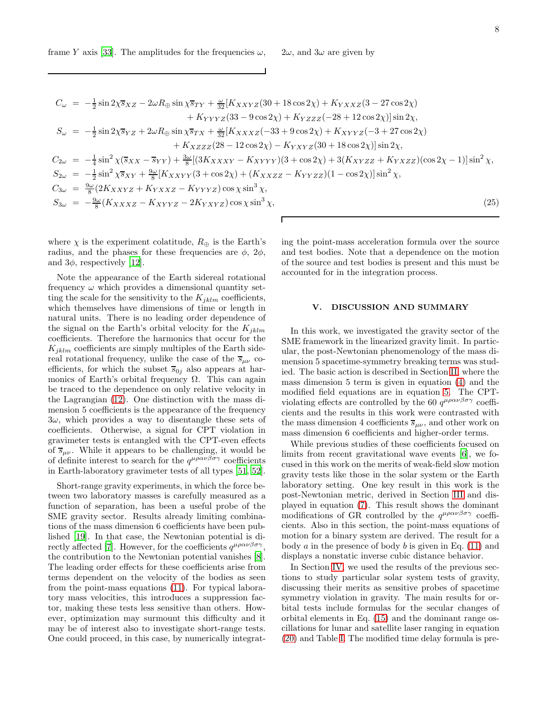<span id="page-8-1"></span>
$$
C_{\omega} = -\frac{1}{2}\sin 2\chi \overline{s}_{XZ} - 2\omega R_{\oplus} \sin \chi \overline{s}_{TY} + \frac{\omega}{32}[K_{XXYZ}(30 + 18 \cos 2\chi) + K_{YXXZ}(3 - 27 \cos 2\chi) + K_{YYYZ}(33 - 9 \cos 2\chi) + K_{YZZZ}(-28 + 12 \cos 2\chi)] \sin 2\chi,
$$
  
\n
$$
S_{\omega} = -\frac{1}{2}\sin 2\chi \overline{s}_{YZ} + 2\omega R_{\oplus} \sin \chi \overline{s}_{TX} + \frac{\omega}{32}[K_{XXXZ}(-33 + 9 \cos 2\chi) + K_{XYYZ}(-3 + 27 \cos 2\chi) + K_{XZZZ}(28 - 12 \cos 2\chi) - K_{YXYZ}(30 + 18 \cos 2\chi)] \sin 2\chi,
$$
  
\n
$$
C_{2\omega} = -\frac{1}{4}\sin^2 \chi (\overline{s}_{XX} - \overline{s}_{YY}) + \frac{3\omega}{8}[(3K_{XXXY} - K_{XYYY})(3 + \cos 2\chi) + 3(K_{XYZZ} + K_{YXZZ})(\cos 2\chi - 1)] \sin^2 \chi,
$$
  
\n
$$
S_{2\omega} = -\frac{1}{2}\sin^2 \chi \overline{s}_{XY} + \frac{9\omega}{8}[K_{XXYY}(3 + \cos 2\chi) + (K_{XXZZ} - K_{YYZZ})(1 - \cos 2\chi)] \sin^2 \chi,
$$
  
\n
$$
C_{3\omega} = \frac{9\omega}{8}(2K_{XXYZ} + K_{YXXZ} - K_{YYYZ}) \cos \chi \sin^3 \chi,
$$
  
\n
$$
S_{3\omega} = -\frac{9\omega}{8}(K_{XXXZ} - K_{XYYZ} - 2K_{YXYZ}) \cos \chi \sin^3 \chi,
$$
  
\n(25)

where  $\chi$  is the experiment colatitude,  $R_{\oplus}$  is the Earth's radius, and the phases for these frequencies are  $\phi$ , 2 $\phi$ . and  $3\phi$ , respectively [\[12\]](#page-10-2).

Note the appearance of the Earth sidereal rotational frequency  $\omega$  which provides a dimensional quantity setting the scale for the sensitivity to the  $K_{jklm}$  coefficients, which themselves have dimensions of time or length in natural units. There is no leading order dependence of the signal on the Earth's orbital velocity for the  $K_{jklm}$ coefficients. Therefore the harmonics that occur for the  $K_{iklm}$  coefficients are simply multiples of the Earth sidereal rotational frequency, unlike the case of the  $\overline{s}_{\mu\nu}$  coefficients, for which the subset  $\overline{s}_{0j}$  also appears at harmonics of Earth's orbital frequency  $\Omega$ . This can again be traced to the dependence on only relative velocity in the Lagrangian [\(12\)](#page-4-3). One distinction with the mass dimension 5 coefficients is the appearance of the frequency  $3\omega$ , which provides a way to disentangle these sets of coefficients. Otherwise, a signal for CPT violation in gravimeter tests is entangled with the CPT-even effects of  $\overline{s}_{\mu\nu}$ . While it appears to be challenging, it would be of definite interest to search for the  $q^{\mu\rho\alpha\nu\beta\sigma\gamma}$  coefficients in Earth-laboratory gravimeter tests of all types [\[51,](#page-10-41) [52\]](#page-10-42).

Short-range gravity experiments, in which the force between two laboratory masses is carefully measured as a function of separation, has been a useful probe of the SME gravity sector. Results already limiting combinations of the mass dimension 6 coefficients have been published [\[19\]](#page-10-9). In that case, the Newtonian potential is di-rectly affected [\[7](#page-9-6)]. However, for the coefficients  $q^{\mu\rho\alpha\nu\beta\sigma\gamma}$ , the contribution to the Newtonian potential vanishes [\[8\]](#page-9-7). The leading order effects for these coefficients arise from terms dependent on the velocity of the bodies as seen from the point-mass equations [\(11\)](#page-4-2). For typical laboratory mass velocities, this introduces a suppression factor, making these tests less sensitive than others. However, optimization may surmount this difficulty and it may be of interest also to investigate short-range tests. One could proceed, in this case, by numerically integrating the point-mass acceleration formula over the source and test bodies. Note that a dependence on the motion of the source and test bodies is present and this must be accounted for in the integration process.

## <span id="page-8-0"></span>V. DISCUSSION AND SUMMARY

In this work, we investigated the gravity sector of the SME framework in the linearized gravity limit. In particular, the post-Newtonian phenomenology of the mass dimension 5 spacetime-symmetry breaking terms was studied. The basic action is described in Section [II,](#page-2-0) where the mass dimension 5 term is given in equation [\(4\)](#page-2-1) and the modified field equations are in equation [5.](#page-3-1) The CPTviolating effects are controlled by the 60  $q^{\mu\rho\alpha\nu\beta\sigma\gamma}$  coefficients and the results in this work were contrasted with the mass dimension 4 coefficients  $\overline{s}_{\mu\nu}$ , and other work on mass dimension 6 coefficients and higher-order terms.

While previous studies of these coefficients focused on limits from recent gravitational wave events [\[6\]](#page-9-5), we focused in this work on the merits of weak-field slow motion gravity tests like those in the solar system or the Earth laboratory setting. One key result in this work is the post-Newtonian metric, derived in Section [III](#page-3-0) and displayed in equation [\(7\)](#page-3-4). This result shows the dominant modifications of GR controlled by the  $q^{\mu\rho\alpha\nu\beta\sigma\gamma}$  coefficients. Also in this section, the point-mass equations of motion for a binary system are derived. The result for a body  $a$  in the presence of body  $b$  is given in Eq. [\(11\)](#page-4-2) and displays a nonstatic inverse cubic distance behavior.

In Section [IV,](#page-4-0) we used the results of the previous sections to study particular solar system tests of gravity, discussing their merits as sensitive probes of spacetime symmetry violation in gravity. The main results for orbital tests include formulas for the secular changes of orbital elements in Eq. [\(15\)](#page-5-0) and the dominant range oscillations for lunar and satellite laser ranging in equation [\(20\)](#page-6-2) and Table [I.](#page-6-1) The modified time delay formula is pre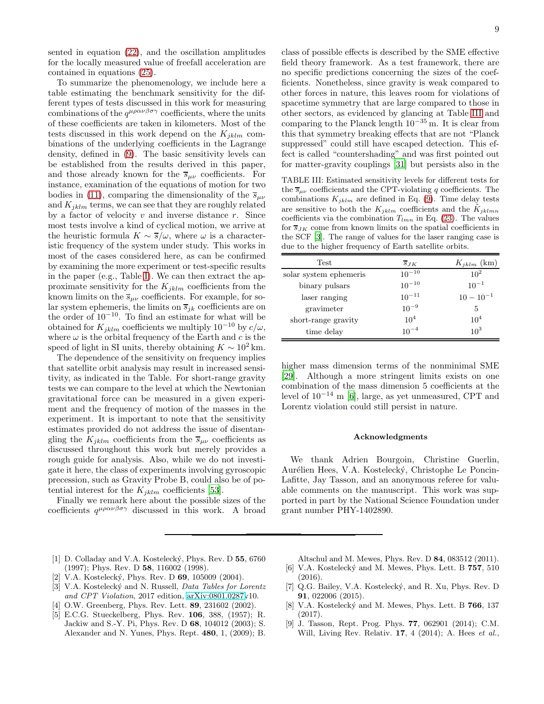sented in equation [\(22\)](#page-7-0), and the oscillation amplitudes for the locally measured value of freefall acceleration are contained in equations [\(25\)](#page-8-1).

To summarize the phenomenology, we include here a table estimating the benchmark sensitivity for the different types of tests discussed in this work for measuring combinations of the  $q^{\mu\rho\alpha\nu\beta\sigma\gamma}$  coefficients, where the units of these coefficients are taken in kilometers. Most of the tests discussed in this work depend on the  $K_{iklm}$  combinations of the underlying coefficients in the Lagrange density, defined in [\(9\)](#page-3-3). The basic sensitivity levels can be established from the results derived in this paper, and those already known for the  $\overline{s}_{\mu\nu}$  coefficients. For instance, examination of the equations of motion for two bodies in [\(11\)](#page-4-2), comparing the dimensionality of the  $\overline{s}_{\mu\nu}$ and  $K_{jklm}$  terms, we can see that they are roughly related by a factor of velocity  $v$  and inverse distance  $r$ . Since most tests involve a kind of cyclical motion, we arrive at the heuristic formula  $K \sim \overline{s}/\omega$ , where  $\omega$  is a characteristic frequency of the system under study. This works in most of the cases considered here, as can be confirmed by examining the more experiment or test-specific results in the paper (e.g., Table [I\)](#page-6-1). We can then extract the approximate sensitivity for the  $K_{jklm}$  coefficients from the known limits on the  $\overline{s}_{\mu\nu}$  coefficients. For example, for solar system ephemeris, the limits on  $\overline{s}_{jk}$  coefficients are on the order of  $10^{-10}$ . To find an estimate for what will be obtained for  $K_{jklm}$  coefficients we multiply 10<sup>-10</sup> by  $c/\omega$ , where  $\omega$  is the orbital frequency of the Earth and c is the speed of light in SI units, thereby obtaining  $K \sim 10^2$  km.

The dependence of the sensitivity on frequency implies that satellite orbit analysis may result in increased sensitivity, as indicated in the Table. For short-range gravity tests we can compare to the level at which the Newtonian gravitational force can be measured in a given experiment and the frequency of motion of the masses in the experiment. It is important to note that the sensitivity estimates provided do not address the issue of disentangling the  $K_{jklm}$  coefficients from the  $\overline{s}_{\mu\nu}$  coefficients as discussed throughout this work but merely provides a rough guide for analysis. Also, while we do not investigate it here, the class of experiments involving gyroscopic precession, such as Gravity Probe B, could also be of potential interest for the  $K_{jklm}$  coefficients [\[53\]](#page-10-43).

Finally we remark here about the possible sizes of the coefficients  $q^{\mu\rho\alpha\nu\beta\sigma\gamma}$  discussed in this work. A broad class of possible effects is described by the SME effective field theory framework. As a test framework, there are no specific predictions concerning the sizes of the coefficients. Nonetheless, since gravity is weak compared to other forces in nature, this leaves room for violations of spacetime symmetry that are large compared to those in other sectors, as evidenced by glancing at Table [III](#page-9-9) and comparing to the Planck length  $10^{-35}$  m. It is clear from this that symmetry breaking effects that are not "Planck suppressed" could still have escaped detection. This effect is called "countershading" and was first pointed out for matter-gravity couplings [\[31\]](#page-10-21) but persists also in the

<span id="page-9-9"></span>TABLE III: Estimated sensitivity levels for different tests for the  $\overline{s}_{\mu\nu}$  coefficients and the CPT-violating q coefficients. The combinations  $K_{jklm}$  are defined in Eq. [\(9\)](#page-3-3). Time delay tests are sensitive to both the  $K_{jklm}$  coefficients and the  $\tilde{K}_{jklmn}$ coefficients via the combination  $T_{lmn}$  in Eq. [\(23\)](#page-7-1). The values for  $\overline{s}_{JK}$  come from known limits on the spatial coefficients in the SCF [\[3\]](#page-9-2). The range of values for the laser ranging case is due to the higher frequency of Earth satellite orbits.

| Test                   | $S_{JK}$        | $K_{jklm}$ (km) |
|------------------------|-----------------|-----------------|
| solar system ephemeris | $10^{-10}$      | $10^{2}$        |
| binary pulsars         | $10^{-10}$      | $10^{-1}$       |
| laser ranging          | $10^{-11}$      | $10 - 10^{-1}$  |
| gravimeter             | $10^{-9}$       | 5               |
| short-range gravity    | 10 <sup>4</sup> | 10 <sup>4</sup> |
| time delay             | $10^{-4}$       | 10 $^3$         |

higher mass dimension terms of the nonminimal SME [\[29\]](#page-10-19). Although a more stringent limits exists on one combination of the mass dimension 5 coefficients at the level of 10<sup>−</sup><sup>14</sup> m [\[6\]](#page-9-5), large, as yet unmeasured, CPT and Lorentz violation could still persist in nature.

#### Acknowledgments

We thank Adrien Bourgoin, Christine Guerlin, Aurélien Hees, V.A. Kostelecký, Christophe Le Poncin-Lafitte, Jay Tasson, and an anonymous referee for valuable comments on the manuscript. This work was supported in part by the National Science Foundation under grant number PHY-1402890.

- <span id="page-9-0"></span>[1] D. Colladay and V.A. Kostelecký, Phys. Rev. D 55, 6760 (1997); Phys. Rev. D 58, 116002 (1998).
- <span id="page-9-1"></span>V.A. Kostelecký, Phys. Rev. D 69, 105009 (2004).
- <span id="page-9-2"></span>[3] V.A. Kostelecký and N. Russell, Data Tables for Lorentz and CPT Violation, 2017 edition, [arXiv:0801.0287v](http://arxiv.org/abs/0801.0287)10.
- <span id="page-9-3"></span>O.W. Greenberg, Phys. Rev. Lett. 89, 231602 (2002).
- <span id="page-9-4"></span>[5] E.C.G. Stueckelberg, Phys. Rev. 106, 388, (1957); R. Jackiw and S.-Y. Pi, Phys. Rev. D 68, 104012 (2003); S. Alexander and N. Yunes, Phys. Rept. 480, 1, (2009); B.

Altschul and M. Mewes, Phys. Rev. D 84, 083512 (2011).

- <span id="page-9-5"></span>[6] V.A. Kostelecký and M. Mewes, Phys. Lett. B 757, 510 (2016).
- <span id="page-9-6"></span>[7] Q.G. Bailey, V.A. Kostelecký, and R. Xu, Phys. Rev. D 91, 022006 (2015).
- <span id="page-9-7"></span>[8] V.A. Kostelecký and M. Mewes, Phys. Lett. B 766, 137 (2017).
- <span id="page-9-8"></span>[9] J. Tasson, Rept. Prog. Phys. 77, 062901 (2014); C.M. Will, Living Rev. Relativ.  $17, 4$  (2014); A. Hees et al.,